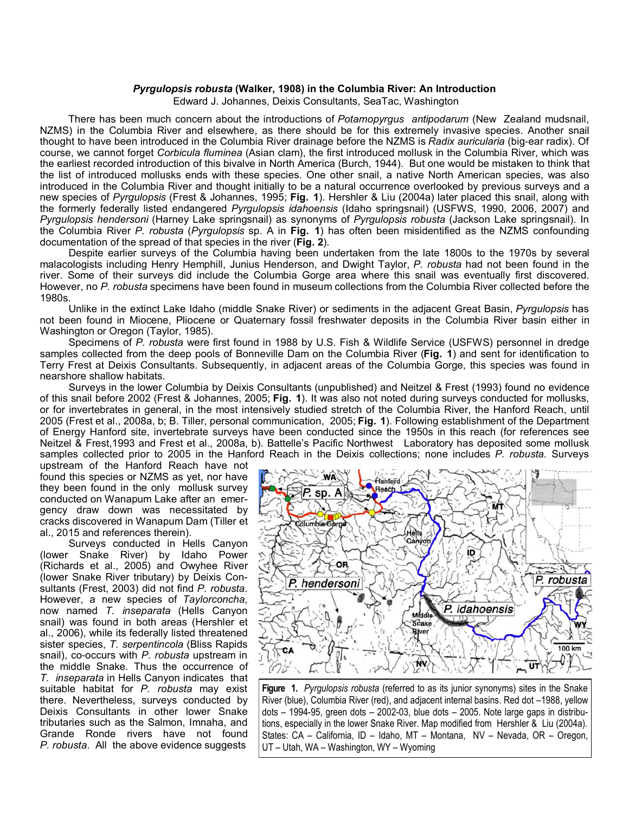## *Pyrgulopsis robusta* **(Walker, 1908) in the Columbia River: An Introduction**

Edward J. Johannes, Deixis Consultants, SeaTac, Washington

 There has been much concern about the introductions of *Potamopyrgus antipodarum* (New Zealand mudsnail, NZMS) in the Columbia River and elsewhere, as there should be for this extremely invasive species. Another snail thought to have been introduced in the Columbia River drainage before the NZMS is *Radix auricularia* (big-ear radix). Of course, we cannot forget *Corbicula fluminea* (Asian clam), the first introduced mollusk in the Columbia River, which was the earliest recorded introduction of this bivalve in North America (Burch, 1944). But one would be mistaken to think that the list of introduced mollusks ends with these species. One other snail, a native North American species, was also introduced in the Columbia River and thought initially to be a natural occurrence overlooked by previous surveys and a new species of *Pyrgulopsis* (Frest & Johannes, 1995; **Fig. 1**). Hershler & Liu (2004a) later placed this snail, along with the formerly federally listed endangered *Pyrgulopsis idahoensis* (Idaho springsnail) (USFWS, 1990, 2006, 2007) and *Pyrgulopsis hendersoni* (Harney Lake springsnail) as synonyms of *Pyrgulopsis robusta* (Jackson Lake springsnail). In the Columbia River *P. robusta* (*Pyrgulopsis* sp. A in **Fig. 1**) has often been misidentified as the NZMS confounding documentation of the spread of that species in the river (**Fig. 2**).

 Despite earlier surveys of the Columbia having been undertaken from the late 1800s to the 1970s by several malacologists including Henry Hemphill, Junius Henderson, and Dwight Taylor, *P. robusta* had not been found in the river. Some of their surveys did include the Columbia Gorge area where this snail was eventually first discovered. However, no *P. robusta* specimens have been found in museum collections from the Columbia River collected before the 1980s.

 Unlike in the extinct Lake Idaho (middle Snake River) or sediments in the adjacent Great Basin, *Pyrgulopsis* has not been found in Miocene, Pliocene or Quaternary fossil freshwater deposits in the Columbia River basin either in Washington or Oregon (Taylor, 1985).

 Specimens of *P. robusta* were first found in 1988 by U.S. Fish & Wildlife Service (USFWS) personnel in dredge samples collected from the deep pools of Bonneville Dam on the Columbia River (**Fig. 1**) and sent for identification to Terry Frest at Deixis Consultants. Subsequently, in adjacent areas of the Columbia Gorge, this species was found in nearshore shallow habitats.

 Surveys in the lower Columbia by Deixis Consultants (unpublished) and Neitzel & Frest (1993) found no evidence of this snail before 2002 (Frest & Johannes, 2005; **Fig. 1**). It was also not noted during surveys conducted for mollusks, or for invertebrates in general, in the most intensively studied stretch of the Columbia River, the Hanford Reach, until 2005 (Frest et al., 2008a, b; B. Tiller, personal communication, 2005; **Fig. 1**). Following establishment of the Department of Energy Hanford site, invertebrate surveys have been conducted since the 1950s in this reach (for references see Neitzel & Frest,1993 and Frest et al., 2008a, b). Battelle's Pacific Northwest Laboratory has deposited some mollusk samples collected prior to 2005 in the Hanford Reach in the Deixis collections; none includes *P. robusta*. Surveys

upstream of the Hanford Reach have not found this species or NZMS as yet, nor have they been found in the only mollusk survey conducted on Wanapum Lake after an emergency draw down was necessitated by cracks discovered in Wanapum Dam (Tiller et al., 2015 and references therein).

 Surveys conducted in Hells Canyon (lower Snake River) by Idaho Power (Richards et al., 2005) and Owyhee River (lower Snake River tributary) by Deixis Consultants (Frest, 2003) did not find *P. robusta*. However, a new species of *Taylorconcha*, now named *T. inseparata* (Hells Canyon snail) was found in both areas (Hershler et al., 2006), while its federally listed threatened sister species, *T. serpentincola* (Bliss Rapids snail), co-occurs with *P. robusta* upstream in the middle Snake. Thus the occurrence of *T. inseparata* in Hells Canyon indicates that suitable habitat for *P. robusta* may exist there. Nevertheless, surveys conducted by Deixis Consultants in other lower Snake tributaries such as the Salmon, Imnaha, and Grande Ronde rivers have not found *P. robusta*. All the above evidence suggests



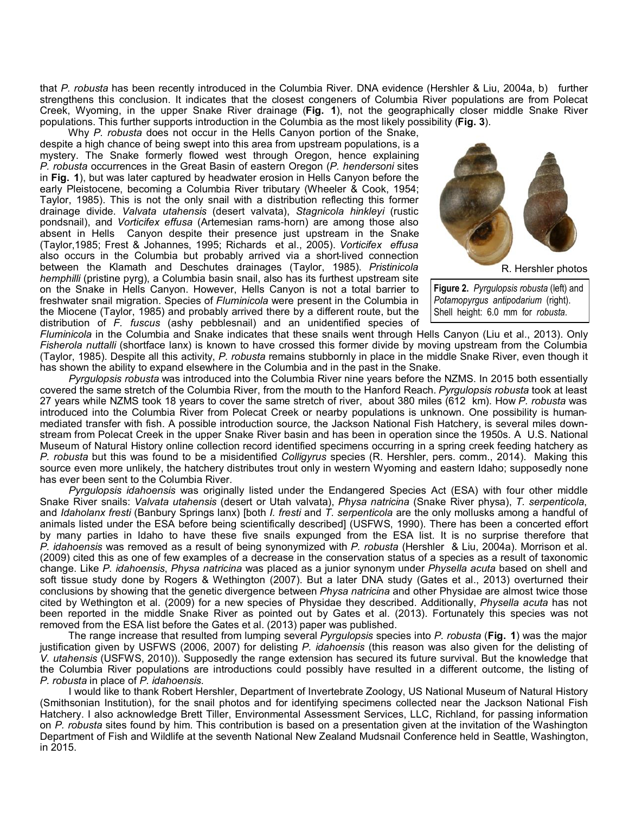that *P. robusta* has been recently introduced in the Columbia River. DNA evidence (Hershler & Liu, 2004a, b) further strengthens this conclusion. It indicates that the closest congeners of Columbia River populations are from Polecat Creek, Wyoming, in the upper Snake River drainage (**Fig. 1**), not the geographically closer middle Snake River populations. This further supports introduction in the Columbia as the most likely possibility (**Fig. 3**).

 Why *P. robusta* does not occur in the Hells Canyon portion of the Snake, despite a high chance of being swept into this area from upstream populations, is a mystery. The Snake formerly flowed west through Oregon, hence explaining *P. robusta* occurrences in the Great Basin of eastern Oregon (*P. hendersoni* sites in **Fig. 1**), but was later captured by headwater erosion in Hells Canyon before the early Pleistocene, becoming a Columbia River tributary (Wheeler & Cook, 1954; Taylor, 1985). This is not the only snail with a distribution reflecting this former drainage divide. *Valvata utahensis* (desert valvata), *Stagnicola hinkleyi* (rustic pondsnail), and *Vorticifex effusa* (Artemesian rams-horn) are among those also absent in Hells Canyon despite their presence just upstream in the Snake (Taylor,1985; Frest & Johannes, 1995; Richards et al., 2005). *Vorticifex effusa* also occurs in the Columbia but probably arrived via a short-lived connection between the Klamath and Deschutes drainages (Taylor, 1985). *Pristinicola hemphilli* (pristine pyrg), a Columbia basin snail, also has its furthest upstream site on the Snake in Hells Canyon. However, Hells Canyon is not a total barrier to freshwater snail migration. Species of *Fluminicola* were present in the Columbia in the Miocene (Taylor, 1985) and probably arrived there by a different route, but the distribution of *F. fuscus* (ashy pebblesnail) and an unidentified species of



R. Hershler photos

**Figure 2.** *Pyrgulopsis robusta* (left) and *Potamopyrgus antipodarium* (right). Shell height: 6.0 mm for *robusta*.

*Fluminicola* in the Columbia and Snake indicates that these snails went through Hells Canyon (Liu et al., 2013). Only *Fisherola nuttalli* (shortface lanx) is known to have crossed this former divide by moving upstream from the Columbia (Taylor, 1985). Despite all this activity, *P. robusta* remains stubbornly in place in the middle Snake River, even though it has shown the ability to expand elsewhere in the Columbia and in the past in the Snake.

 *Pyrgulopsis robusta* was introduced into the Columbia River nine years before the NZMS. In 2015 both essentially covered the same stretch of the Columbia River, from the mouth to the Hanford Reach. *Pyrgulopsis robusta* took at least 27 years while NZMS took 18 years to cover the same stretch of river, about 380 miles (612 km). How *P. robusta* was introduced into the Columbia River from Polecat Creek or nearby populations is unknown. One possibility is humanmediated transfer with fish. A possible introduction source, the Jackson National Fish Hatchery, is several miles downstream from Polecat Creek in the upper Snake River basin and has been in operation since the 1950s. A U.S. National Museum of Natural History online collection record identified specimens occurring in a spring creek feeding hatchery as *P. robusta* but this was found to be a misidentified *Colligyrus* species (R. Hershler, pers. comm., 2014). Making this source even more unlikely, the hatchery distributes trout only in western Wyoming and eastern Idaho; supposedly none has ever been sent to the Columbia River.

 *Pyrgulopsis idahoensis* was originally listed under the Endangered Species Act (ESA) with four other middle Snake River snails: *Valvata utahensis* (desert or Utah valvata), *Physa natricina* (Snake River physa), *T. serpenticola*, and *Idaholanx fresti* (Banbury Springs lanx) [both *I. fresti* and *T. serpenticola* are the only mollusks among a handful of animals listed under the ESA before being scientifically described] (USFWS, 1990). There has been a concerted effort by many parties in Idaho to have these five snails expunged from the ESA list. It is no surprise therefore that *P. idahoensis* was removed as a result of being synonymized with *P. robusta* (Hershler & Liu, 2004a). Morrison et al. (2009) cited this as one of few examples of a decrease in the conservation status of a species as a result of taxonomic change. Like *P. idahoensis*, *Physa natricina* was placed as a junior synonym under *Physella acuta* based on shell and soft tissue study done by Rogers & Wethington (2007). But a later DNA study (Gates et al., 2013) overturned their conclusions by showing that the genetic divergence between *Physa natricina* and other Physidae are almost twice those cited by Wethington et al. (2009) for a new species of Physidae they described. Additionally, *Physella acuta* has not been reported in the middle Snake River as pointed out by Gates et al. (2013). Fortunately this species was not removed from the ESA list before the Gates et al. (2013) paper was published.

 The range increase that resulted from lumping several *Pyrgulopsis* species into *P. robusta* (**Fig. 1**) was the major justification given by USFWS (2006, 2007) for delisting *P. idahoensis* (this reason was also given for the delisting of *V. utahensis* (USFWS, 2010)). Supposedly the range extension has secured its future survival. But the knowledge that the Columbia River populations are introductions could possibly have resulted in a different outcome, the listing of *P. robusta* in place of *P. idahoensis*.

 I would like to thank Robert Hershler, Department of Invertebrate Zoology, US National Museum of Natural History (Smithsonian Institution), for the snail photos and for identifying specimens collected near the Jackson National Fish Hatchery. I also acknowledge Brett Tiller, Environmental Assessment Services, LLC, Richland, for passing information on *P. robusta* sites found by him. This contribution is based on a presentation given at the invitation of the Washington Department of Fish and Wildlife at the seventh National New Zealand Mudsnail Conference held in Seattle, Washington, in 2015.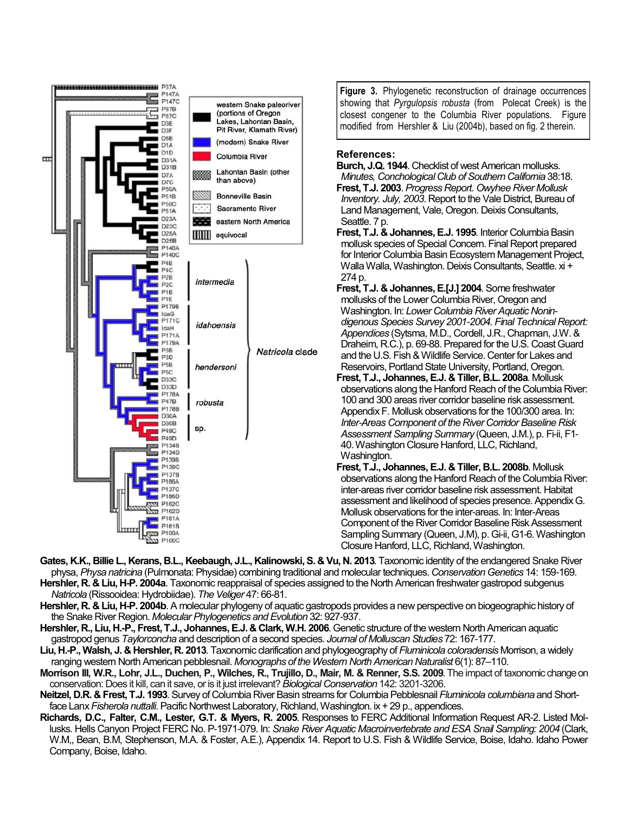

**Figure 3.** Phylogenetic reconstruction of drainage occurrences showing that *Pyrgulopsis robusta* (from Polecat Creek) is the closest congener to the Columbia River populations. Figure modified from Hershler & Liu (2004b), based on fig. 2 therein.

## **References:**

**Burch, J.Q. 1944**. Checklist of west American mollusks. *Minutes, Conchological Club of Southern California* 38:18. **Frest, T.J. 2003**. *Progress Report. Owyhee River Mollusk Inventory. July, 2003*. Report to the Vale District, Bureau of Land Management, Vale, Oregon. Deixis Consultants, Seattle. 7 p. **Frest, T.J. & Johannes, E.J. 1995**. Interior Columbia Basin mollusk species of Special Concern. Final Report prepared for Interior Columbia Basin Ecosystem Management Project, Walla Walla, Washington. Deixis Consultants, Seattle. xi + 274 p. **Frest, T.J. & Johannes, E.[J.] 2004**. Some freshwater mollusks of the Lower Columbia River, Oregon and Washington. In: *Lower Columbia River Aquatic Nonin digenous Species Survey 2001-2004. Final Technical Report: Appendices* (Sytsma, M.D., Cordell, J.R., Chapman, J.W. & Draheim, R.C.), p. 69-88. Prepared for the U.S. Coast Guard and the U.S. Fish & Wildlife Service. Center for Lakes and Reservoirs, Portland State University, Portland, Oregon. **Frest, T.J., Johannes, E.J. & Tiller, B.L. 2008a**. Mollusk observations along the Hanford Reach of the Columbia River: 100 and 300 areas river corridor baseline risk assessment. Appendix F. Mollusk observations for the 100/300 area. In: *Inter-Areas Component of the River Corridor Baseline Risk Assessment Sampling Summary* (Queen, J.M.), p. Fi-ii, F1- 40. Washington Closure Hanford, LLC, Richland,

Washington. **Frest, T.J., Johannes, E.J. & Tiller, B.L. 2008b**. Mollusk observations along the Hanford Reach of the Columbia River: inter-areas river corridor baseline risk assessment. Habitat assessment and likelihood of species presence. Appendix G. Mollusk observations for the inter-areas. In: Inter-Areas Component of the River Corridor Baseline Risk Assessment Sampling Summary (Queen, J.M), p. Gi-ii, G1-6. Washington Closure Hanford, LLC, Richland, Washington.

- **Gates, K.K., Billie L., Kerans, B.L., Keebaugh, J.L., Kalinowski, S. & Vu, N. 2013**. Taxonomic identity of the endangered Snake River physa, *Physa natricina* (Pulmonata: Physidae) combining traditional and molecular techniques. *Conservation Genetics* 14: 159-169. **Hershler, R. & Liu, H-P. 2004a**. Taxonomic reappraisal of species assigned to the North American freshwater gastropod subgenus *Natricola* (Rissooidea: Hydrobiidae). *The Veliger* 47: 66-81.
- **Hershler, R. & Liu, H-P. 2004b**. A molecular phylogeny of aquatic gastropods provides a new perspective on biogeographic history of the Snake River Region. *Molecular Phylogenetics and Evolution* 32: 927-937.
- **Hershler, R., Liu, H.-P., Frest, T.J., Johannes, E.J. & Clark, W.H. 2006**. Genetic structure of the western North American aquatic gastropod genus *Taylorconcha*and description of a second species. *Journal of Molluscan Studies* 72: 167-177.
- **Liu, H.-P., Walsh, J. & Hershler, R. 2013**. Taxonomic clarification and phylogeography of *Fluminicola coloradensis* Morrison, a widely ranging western North American pebblesnail. *Monographs of the Western North American Naturalist* 6(1): 87–110.
- **Morrison III, W.R., Lohr, J.L., Duchen, P., Wilches, R., Trujillo, D., Mair, M. & Renner, S.S. 2009**. The impact of taxonomic change on conservation: Does it kill, can it save, or is it just irrelevant? *Biological Conservation*142: 3201-3206.
- **Neitzel, D.R. & Frest, T.J. 1993**.Survey of Columbia River Basin streams for Columbia Pebblesnail *Fluminicola columbiana* and Shortface Lanx *Fisherola nuttalli*. Pacific Northwest Laboratory, Richland, Washington. ix + 29 p., appendices.
- **Richards, D.C., Falter, C.M., Lester, G.T. & Myers, R. 2005**. Responses to FERC Additional Information Request AR-2. Listed Mollusks. Hells Canyon Project FERC No. P-1971-079. In: *Snake River Aquatic Macroinvertebrate and ESA Snail Sampling: 2004*(Clark, W.M,, Bean, B.M, Stephenson, M.A. & Foster, A.E.), Appendix 14. Report to U.S. Fish & Wildlife Service, Boise, Idaho. Idaho Power Company, Boise, Idaho.